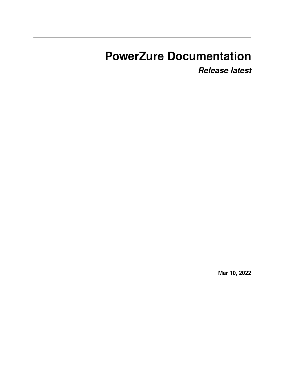# **PowerZure Documentation**

*Release latest*

**Mar 10, 2022**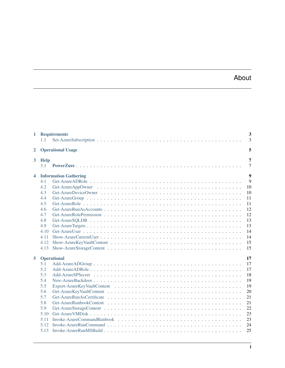# About

| $\mathbf{1}$            | 1.1                      | <b>Requirements</b>          | 3<br>3 |
|-------------------------|--------------------------|------------------------------|--------|
| $\overline{2}$          | <b>Operational Usage</b> |                              |        |
| $3^{\circ}$             | <b>Help</b><br>3.1       |                              | 7<br>7 |
| 4                       |                          | <b>Information Gathering</b> | 9      |
|                         | 4.1                      |                              | 9      |
|                         | 4.2                      |                              | 10     |
|                         | 4.3                      |                              | 10     |
|                         | 4.4                      |                              | 11     |
|                         | 4.5                      |                              | 11     |
|                         | 4.6                      |                              | 12     |
|                         | 4.7                      |                              | 12     |
|                         | 4.8                      |                              | 13     |
|                         | 4.9                      |                              | 13     |
|                         | 4.10                     |                              | 14     |
|                         | 4.11                     |                              | 14     |
|                         | 4.12                     |                              | 15     |
|                         | 4.13                     |                              | 15     |
| 5<br><b>Operational</b> |                          |                              | 17     |
|                         | 5.1                      |                              | 17     |
|                         | 5.2                      |                              | 17     |
|                         | 5.3                      |                              | 18     |
|                         | 5.4                      |                              | 19     |
|                         | 5.5                      |                              | 19     |
|                         | 5.6                      |                              | 20     |
|                         | 5.7                      |                              | 21     |
|                         | 5.8                      |                              | 21     |
|                         | 5.9                      |                              | 22     |
|                         | 5.10                     |                              | 23     |
|                         | 5.11                     |                              | 23     |
|                         | 5.12                     |                              | 24     |
|                         | 5.13                     |                              | 25     |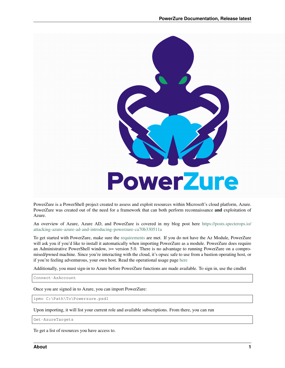

PowerZure is a PowerShell project created to assess and exploit resources within Microsoft's cloud platform, Azure. PowerZure was created out of the need for a framework that can both perform reconnaissance and exploitation of Azure.

An overview of Azure, Azure AD, and PowerZure is covered in my blog post here [https://posts.specterops.io/](https://posts.specterops.io/attacking-azure-azure-ad-and-introducing-powerzure-ca70b330511a) [attacking-azure-azure-ad-and-introducing-powerzure-ca70b330511a](https://posts.specterops.io/attacking-azure-azure-ad-and-introducing-powerzure-ca70b330511a)

To get started with PowerZure, make sure the [requirements](https://powerzure.readthedocs.io/en/latest/Requirements/requirements.html) are met. If you do not have the Az Module, PowerZure will ask you if you'd like to install it automatically when importing PowerZure as a module. PowerZure does require an Administrative PowerShell window,  $\geq$  version 5.0. There is no advantage to running PowerZure on a compromised/pwned machine. Since you're interacting with the cloud, it's opsec safe to use from a bastion operating host, or if you're feeling adventurous, your own host. Read the operational usage page [here](https://powerzure.readthedocs.io/en/latest/Operationalusage/opusage.html)

Additionally, you must sign-in to Azure before PowerZure functions are made available. To sign in, use the cmdlet

Connect-AzAccount

Once you are signed in to Azure, you can import PowerZure:

ipmo C:\Path\To\Powerzure.psd1

Upon importing, it will list your current role and available subscriptions. From there, you can run

Get-AzureTargets

To get a list of resources you have access to.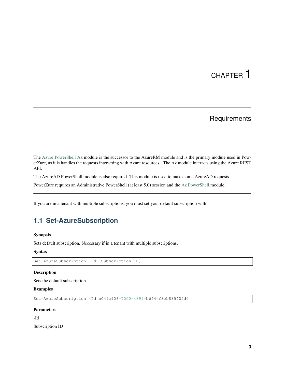# **Requirements**

<span id="page-6-0"></span>The [Azure PowerShell Az](https://docs.microsoft.com/en-us/powershell/azure/?view=azps-4.2.0) module is the successor to the AzureRM module and is the primary module used in PowerZure, as it is handles the requests interacting with Azure resources.. The Az module interacts using the Azure REST API.

The AzureAD PowerShell module is also required. This module is used to make some AzureAD requests.

PowerZure requires an Administrative PowerShell (at least 5.0) session and the [Az PowerShell](https://docs.microsoft.com/en-us/powershell/azure/?view=azps-4.2.0) module.

If you are in a tenant with multiple subscriptions, you must set your default subscription with

# <span id="page-6-1"></span>**1.1 Set-AzureSubscription**

#### Synopsis

Sets default subscription. Necessary if in a tenant with multiple subscriptions.

#### **Syntax**

Set-AzureSubscription -Id [Subscription ID]

#### Description

Sets the default subscription

#### Examples

Set-AzureSubscription -Id b049c906-7000-4899-b644-f3eb835f04d0

#### **Parameters**

-Id

Subscription ID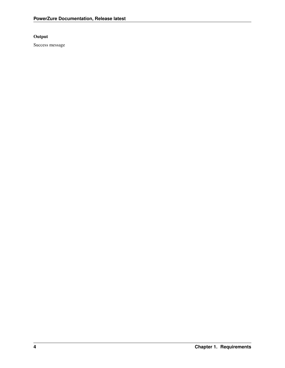#### Output

Success message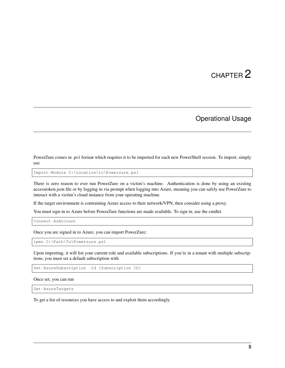# Operational Usage

<span id="page-8-0"></span>PowerZure comes in .ps1 format which requires it to be imported for each new PowerShell session. To import, simply use

Import-Module C:\Location\to\Powerzure.ps1

There is zero reason to ever run PowerZure on a victim's machine. Authentication is done by using an existing accesstoken.json file or by logging in via prompt when logging into Azure, meaning you can safely use PowerZure to interact with a victim's cloud instance from your operating machine.

If the target environment is contraining Azure access to their network/VPN, then consider using a proxy.

You must sign-in to Azure before PowerZure functions are made available. To sign in, use the cmdlet

Connect-AzAccount

Once you are signed in to Azure, you can import PowerZure:

ipmo C:\Path\To\Powerzure.ps1

Upon importing, it will list your current role and available subscriptions. If you're in a tenant with multiple subscriptions, you must set a default subscription with

Set-AzureSubscription -Id [Subscription ID]

Once set, you can run

Get-AzureTargets

To get a list of resources you have access to and exploit them accordingly.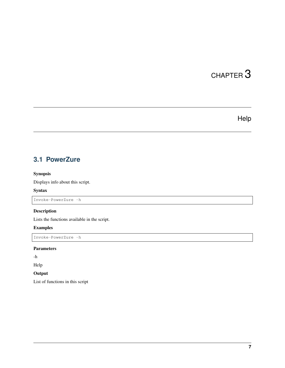# Help

# <span id="page-10-1"></span><span id="page-10-0"></span>**3.1 PowerZure**

#### Synopsis

Displays info about this script.

#### Syntax

Invoke-PowerZure -h

#### Description

Lists the functions available in the script.

#### Examples

Invoke-PowerZure -h

#### Parameters

-h

Help

### **Output**

List of functions in this script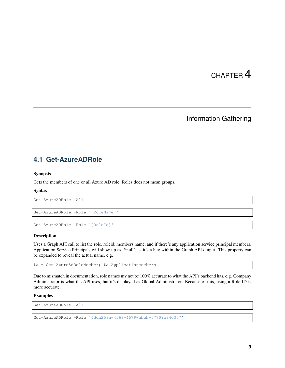# Information Gathering

# <span id="page-12-1"></span><span id="page-12-0"></span>**4.1 Get-AzureADRole**

#### Synopsis

Gets the members of one or all Azure AD role. Roles does not mean groups.

#### Syntax

Get-AzureADRole -All

```
Get-AzureADRole -Role '[RoleName]'
```
Get-AzureADRole -Role '[RoleId]'

#### **Description**

Uses a Graph API call to list the role, roleid, members name, and if there's any application service principal members. Application Service Principals will show up as '\$null', as it's a bug within the Graph API output. This property can be expanded to reveal the actual name, e.g.

\$a = Get-AzureAdRoleMember; \$a.Applicationmembers

Due to mismatch in documentation, role names my not be 100% accurate to what the API's backend has, e.g. Company Administrator is what the API uses, but it's displayed as Global Administrator. Because of this, using a Role ID is more accurate.

#### Examples

Get-AzureADRole -All

Get-AzureADRole -Role '4dda258a-4568-4579-abeb-07709e34e307'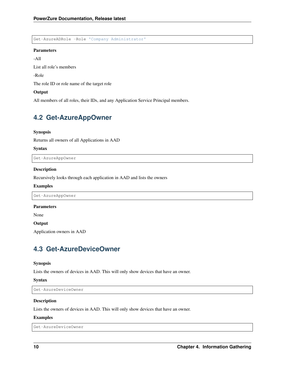Get-AzureADRole -Role 'Company Administrator'

#### Parameters

-All

List all role's members

-Role

The role ID or role name of the target role

#### **Output**

All members of all roles, their IDs, and any Application Service Principal members.

## <span id="page-13-0"></span>**4.2 Get-AzureAppOwner**

#### Synopsis

Returns all owners of all Applications in AAD

#### Syntax

Get-AzureAppOwner

#### Description

Recursively looks through each application in AAD and lists the owners

#### Examples

Get-AzureAppOwner

#### Parameters

None

**Output** 

Application owners in AAD

### <span id="page-13-1"></span>**4.3 Get-AzureDeviceOwner**

#### Synopsis

Lists the owners of devices in AAD. This will only show devices that have an owner.

#### Syntax

Get-AzureDeviceOwner

#### Description

Lists the owners of devices in AAD. This will only show devices that have an owner.

#### Examples

Get-AzureDeviceOwner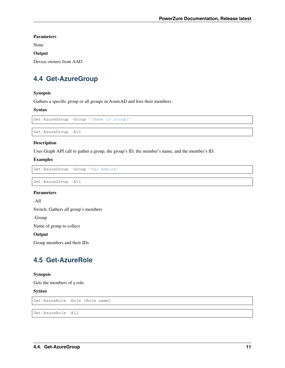Parameters

None

**Output** 

Device owners from AAD

# <span id="page-14-0"></span>**4.4 Get-AzureGroup**

#### Synopsis

Gathers a specific group or all groups in AzureAD and lists their members.

#### Syntax

```
Get-AzureGroup -Group '[Name of Group]'
```

```
Get-AzureGroup -All
```
#### Description

Uses Graph API call to gather a group, the group's ID, the member's name, and the member's ID.

#### Examples

```
Get-AzureGroup -Group 'Sql Admins'
```

```
Get-AzureGroup -All
```
#### Parameters

-All

Switch; Gathers all group's members

-Group

Name of group to collect

#### **Output**

Group members and their IDs

### <span id="page-14-1"></span>**4.5 Get-AzureRole**

#### Synopsis

Gets the members of a role.

Syntax

```
Get-AzureRole -Role [Role name]
```
Get-AzureRole -All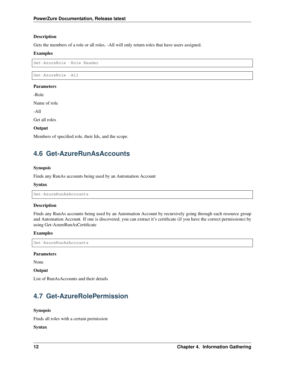#### Description

Gets the members of a role or all roles. -All will only return roles that have users assigned.

#### Examples

Get-AzureRole -Role Reader

Get-AzureRole -All

#### Parameters

-Role

Name of role

-All

Get all roles

#### **Output**

Members of specified role, their Ids, and the scope.

# <span id="page-15-0"></span>**4.6 Get-AzureRunAsAccounts**

#### Synopsis

Finds any RunAs accounts being used by an Automation Account

#### Syntax

Get-AzureRunAsAccounts

#### **Description**

Finds any RunAs accounts being used by an Automation Account by recursively going through each resource group and Automation Account. If one is discovered, you can extract it's certificate (if you have the correct permissions) by using Get-AzureRunAsCertificate

#### Examples

Get-AzureRunAsAccounts

#### Parameters

None

#### **Output**

List of RunAsAccounts and their details

# <span id="page-15-1"></span>**4.7 Get-AzureRolePermission**

#### Synopsis

Finds all roles with a certain permission

#### Syntax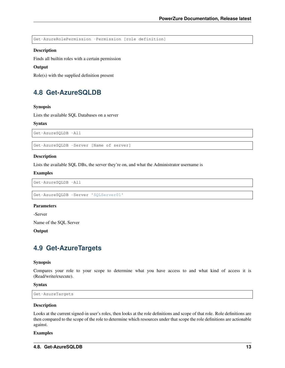Get-AzureRolePermission -Permission [role definition]

#### Description

Finds all builtin roles with a certain permission

#### **Output**

Role(s) with the supplied definition present

## <span id="page-16-0"></span>**4.8 Get-AzureSQLDB**

#### Synopsis

Lists the available SQL Databases on a server

#### Syntax

Get-AzureSQLDB -All

Get-AzureSQLDB -Server [Name of server]

#### **Description**

Lists the available SQL DBs, the server they're on, and what the Administrator username is

#### Examples

Get-AzureSQLDB -All

```
Get-AzureSQLDB -Server 'SQLServer01'
```
#### **Parameters**

-Server

Name of the SQL Server

**Output** 

### <span id="page-16-1"></span>**4.9 Get-AzureTargets**

#### Synopsis

Compares your role to your scope to determine what you have access to and what kind of access it is (Read/write/execute).

#### Syntax

Get-AzureTargets

#### Description

Looks at the current signed-in user's roles, then looks at the role definitions and scope of that role. Role definitions are then compared to the scope of the role to determine which resources under that scope the role definitions are actionable against.

#### Examples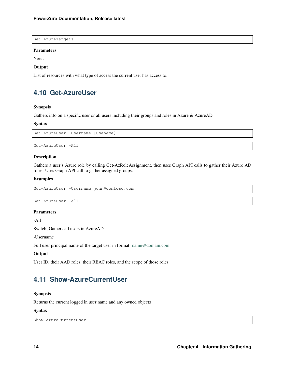Get-AzureTargets

#### Parameters

None

#### **Output**

List of resources with what type of access the current user has access to.

# <span id="page-17-0"></span>**4.10 Get-AzureUser**

#### Synopsis

Gathers info on a specific user or all users including their groups and roles in Azure & AzureAD

#### Syntax

Get-AzureUser -Username [Usename]

Get-AzureUser -All

#### **Description**

Gathers a user's Azure role by calling Get-AzRoleAssignment, then uses Graph API calls to gather their Azure AD roles. Uses Graph API call to gather assigned groups.

#### Examples

```
Get-AzureUser -Username john@contoso.com
```

```
Get-AzureUser -All
```
#### Parameters

-All

Switch; Gathers all users in AzureAD.

-Username

Full user principal name of the target user in format: [name@domain.com](mailto:name@domain.com)

#### **Output**

User ID, their AAD roles, their RBAC roles, and the scope of those roles

# <span id="page-17-1"></span>**4.11 Show-AzureCurrentUser**

#### Synopsis

Returns the current logged in user name and any owned objects

#### Syntax

```
Show-AzureCurrentUser
```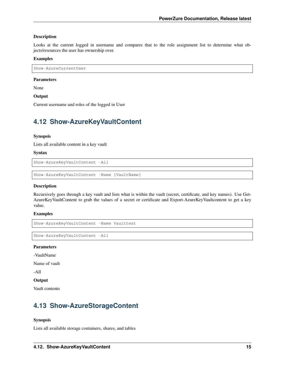#### Description

Looks at the current logged in username and compares that to the role assignment list to determine what objects/resources the user has ownership over.

#### Examples

Show-AzureCurrentUser

#### Parameters

None

**Output** 

Current username and roles of the logged in User

## <span id="page-18-0"></span>**4.12 Show-AzureKeyVaultContent**

#### Synopsis

Lists all available content in a key vault

#### Syntax

Show-AzureKeyVaultContent -All

Show-AzureKeyVaultContent -Name ]VaultName]

#### Description

Recursively goes through a key vault and lists what is within the vault (secret, certificate, and key names). Use Get-AzureKeyVaultContent to grab the values of a secret or certificate and Export-AzureKeyVaultcontent to get a key value.

#### Examples

Show-AzureKeyVaultContent -Name Vaulttest

Show-AzureKeyVaultContent -All

#### **Parameters**

-VaultName

Name of vault

-All

#### **Output**

Vault contents

# <span id="page-18-1"></span>**4.13 Show-AzureStorageContent**

#### Synopsis

Lists all available storage containers, shares, and tables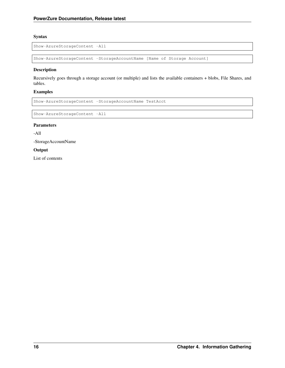#### Syntax

Show-AzureStorageContent -All

Show-AzureStorageContent -StorageAccountName [Name of Storage Account]

#### Description

Recursively goes through a storage account (or multiple) and lists the available containers + blobs, File Shares, and tables.

#### Examples

Show-AzureStorageContent -StorageAccountName TestAcct

Show-AzureStorageContent -All

#### Parameters

-All

-StorageAccountName

#### Output

List of contents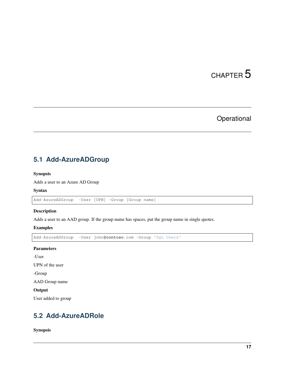# Operational

# <span id="page-20-1"></span><span id="page-20-0"></span>**5.1 Add-AzureADGroup**

#### Synopsis

Adds a user to an Azure AD Group

#### Syntax

Add-AzureADGroup -User [UPN] -Group [Group name]

#### Description

Adds a user to an AAD group. If the group name has spaces, put the group name in single quotes.

#### Examples

```
Add-AzureADGroup -User john@contoso.com -Group 'SQL Users'
```
#### Parameters

-User

UPN of the user

-Group

AAD Group name

#### **Output**

User added to group

# <span id="page-20-2"></span>**5.2 Add-AzureADRole**

Synopsis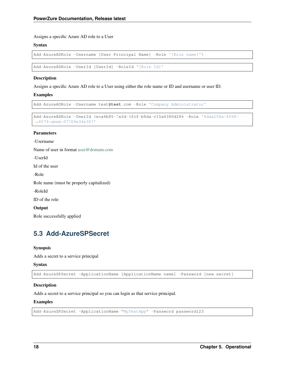Assigns a specific Azure AD role to a User

#### **Syntax**

```
Add-AzureADRole -Username [User Principal Name] -Role '[Role name]'\
```
Add-AzureADRole -UserId [UserId] -RoleId '[Role Id]'

#### Description

Assigns a specific Azure AD role to a User using either the role name or ID and username or user ID.

#### Examples

Add-AzureADRole -Username test**@test**.com -Role 'Company Administrator'

```
Add-AzureADRole -UserId 6eca6b85-7a3d-4fcf-b8da-c15a4380d286 -Role '4dda258a-4568-
˓→4579-abeb-07709e34e307'
```
#### Parameters

-Username

Name of user in format [user@domain.com](mailto:user@domain.com)

-UserId

Id of the user

-Role

Role name (must be properly capitalized)

-RoleId

ID of the role

Output

Role successfully applied

# <span id="page-21-0"></span>**5.3 Add-AzureSPSecret**

#### Synopsis

Adds a secret to a service principal

#### Syntax

```
Add-AzureSPSecret -ApplicationName [ApplicationName name] -Password [new secret]
```
#### Description

Adds a secret to a service principal so you can login as that service principal.

#### Examples

```
Add-AzureSPSecret -ApplicationName "MyTestApp" -Password password123
```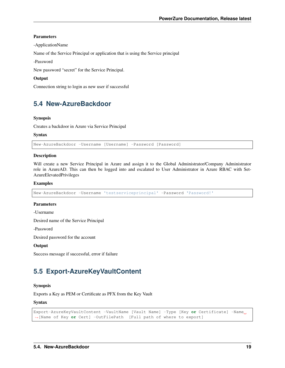#### Parameters

-ApplicationName

Name of the Service Principal or application that is using the Service principal

-Password

New password "secret" for the Service Principal.

#### **Output**

Connection string to login as new user if successful

# <span id="page-22-0"></span>**5.4 New-AzureBackdoor**

#### **Synopsis**

Creates a backdoor in Azure via Service Principal

#### Syntax

New-AzureBackdoor -Username [Username] -Password [Password]

#### Description

Will create a new Service Principal in Azure and assign it to the Global Administrator/Company Administrator role in AzureAD. This can then be logged into and escalated to User Administrator in Azure RBAC with Set-AzureElevatedPrivileges

#### Examples

New-AzureBackdoor -Username 'testserviceprincipal' -Password 'Password!'

#### Parameters

-Username

Desired name of the Service Principal

-Password

Desired password for the account

**Output** 

Success message if successful, error if failure

# <span id="page-22-1"></span>**5.5 Export-AzureKeyVaultContent**

#### Synopsis

Exports a Key as PEM or Certificate as PFX from the Key Vault

#### Syntax

```
Export-AzureKeyVaultContent -VaultName [Vault Name] -Type [Key or Certificate] -Name
˓→[Name of Key or Cert] -OutFilePath [Full path of where to export]
```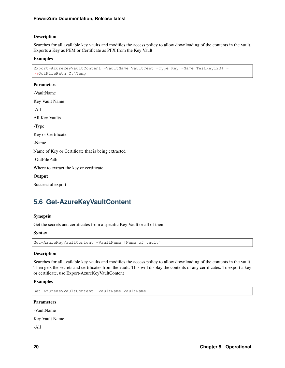#### Description

Searches for all available key vaults and modifies the access policy to allow downloading of the contents in the vault. Exports a Key as PEM or Certificate as PFX from the Key Vault

#### Examples

```
Export-AzureKeyVaultContent -VaultName VaultTest -Type Key -Name Testkey1234 -
˓→OutFilePath C:\Temp
```
#### Parameters

-VaultName Key Vault Name -All All Key Vaults -Type Key or Certificate -Name Name of Key or Certificate that is being extracted -OutFilePath Where to extract the key or certificate **Output** Successful export

# <span id="page-23-0"></span>**5.6 Get-AzureKeyVaultContent**

#### Synopsis

Get the secrets and certificates from a specific Key Vault or all of them

#### Syntax

```
Get-AzureKeyVaultContent -VaultName [Name of vault]
```
#### **Description**

Searches for all available key vaults and modifies the access policy to allow downloading of the contents in the vault. Then gets the secrets and certificates from the vault. This will display the contents of any certificates. To export a key or certificate, use Export-AzureKeyVaultContent

#### Examples

```
Get-AzureKeyVaultContent -VaultName VaultName
```
#### **Parameters**

-VaultName

Key Vault Name

-All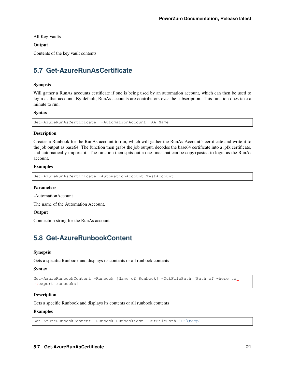All Key Vaults

#### **Output**

Contents of the key vault contents

# <span id="page-24-0"></span>**5.7 Get-AzureRunAsCertificate**

#### Synopsis

Will gather a RunAs accounts certificate if one is being used by an automation account, which can then be used to login as that account. By default, RunAs accounts are contributors over the subscription. This function does take a minute to run.

#### **Syntax**

```
Get-AzureRunAsCertificate -AutomationAccount [AA Name]
```
#### **Description**

Creates a Runbook for the RunAs account to run, which will gather the RunAs Account's certificate and write it to the job output as base64. The function then grabs the job output, decodes the base64 certificate into a .pfx certificate, and automatically imports it. The function then spits out a one-liner that can be copy+pasted to login as the RunAs account.

#### Examples

```
Get-AzureRunAsCertificate -AutomationAccount TestAccount
```
#### Parameters

-AutomationAccount

The name of the Automation Account.

#### **Output**

Connection string for the RunAs account

# <span id="page-24-1"></span>**5.8 Get-AzureRunbookContent**

#### Synopsis

Gets a specific Runbook and displays its contents or all runbook contents

#### **Syntax**

```
Get-AzureRunbookContent -Runbook [Name of Runbook] -OutFilePath [Path of where to
˓→export runbooks]
```
#### **Description**

Gets a specific Runbook and displays its contents or all runbook contents

#### Examples

```
Get-AzureRunbookContent -Runbook Runbooktest -OutFilePath 'C:\temp'
```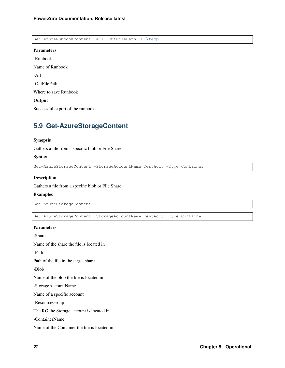Get-AzureRunbookContent -All -OutFilePath 'C:**\t**emp

#### Parameters

-Runbook Name of Runbook

-All

-OutFilePath

Where to save Runbook

#### **Output**

Successful export of the runbooks

# <span id="page-25-0"></span>**5.9 Get-AzureStorageContent**

#### Synopsis

Gathers a file from a specific blob or File Share

#### Syntax

Get-AzureStorageContent -StorageAccountName TestAcct -Type Container

#### Description

Gathers a file from a specific blob or File Share

#### Examples

```
Get-AzureStorageContent
```
Get-AzureStorageContent -StorageAccountName TestAcct -Type Container

#### Parameters

-Share

Name of the share the file is located in

-Path

Path of the file in the target share

-Blob

Name of the blob the file is located in

-StorageAccountName

Name of a specific account

-ResourceGroup

The RG the Storage account is located in

-ContainerName

Name of the Container the file is located in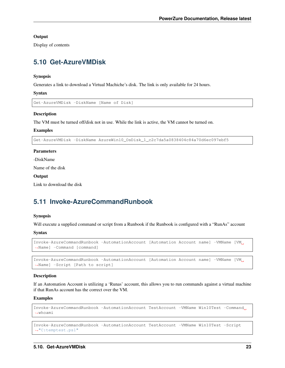#### **Output**

Display of contents

# <span id="page-26-0"></span>**5.10 Get-AzureVMDisk**

#### Synopsis

Generates a link to download a Virtual Machiche's disk. The link is only available for 24 hours.

Syntax

Get-AzureVMDisk -DiskName [Name of Disk]

#### **Description**

The VM must be turned off/disk not in use. While the link is active, the VM cannot be turned on.

#### Examples

Get-AzureVMDisk -DiskName AzureWin10\_OsDisk\_1\_c2c7da5a0838404c84a70d6ec097ebf5

#### Parameters

-DiskName

Name of the disk

#### **Output**

Link to download the disk

# <span id="page-26-1"></span>**5.11 Invoke-AzureCommandRunbook**

#### Synopsis

Will execute a supplied command or script from a Runbook if the Runbook is configured with a "RunAs" account

Syntax

```
Invoke-AzureCommandRunbook -AutomationAccount [Automation Account name] -VMName [VM
˓→Name] -Command [command]
```

```
Invoke-AzureCommandRunbook -AutomationAccount [Automation Account name] -VMName [VM
˓→Name] -Script [Path to script]
```
#### Description

If an Automation Account is utilizing a 'Runas' account, this allows you to run commands against a virtual machine if that RunAs account has the correct over the VM.

#### Examples

```
Invoke-AzureCommandRunbook -AutomationAccount TestAccount -VMName Win10Test -Command
˓→whoami
```

```
Invoke-AzureCommandRunbook -AutomationAccount TestAccount -VMName Win10Test -Script
˓→"C:temptest.ps1"
```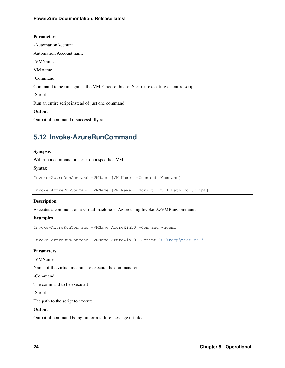#### Parameters

- -AutomationAccount
- Automation Account name
- -VMName
- VM name
- -Command

Command to be run against the VM. Choose this or -Script if executing an entire script

-Script

Run an entire script instead of just one command.

#### **Output**

Output of command if successfully ran.

# <span id="page-27-0"></span>**5.12 Invoke-AzureRunCommand**

#### Synopsis

Will run a command or script on a specified VM

#### Syntax

```
Invoke-AzureRunCommand -VMName [VM Name] -Command [Command]
```
Invoke-AzureRunCommand -VMName [VM Name] -Script [Full Path To Script]

#### Description

Executes a command on a virtual machine in Azure using Invoke-AzVMRunCommand

#### Examples

Invoke-AzureRunCommand -VMName AzureWin10 -Command whoami

Invoke-AzureRunCommand -VMName AzureWin10 -Script 'C:**\t**emp**\t**est.ps1'

#### Parameters

-VMName

Name of the virtual machine to execute the command on

-Command

The command to be executed

-Script

The path to the script to execute

#### **Output**

Output of command being run or a failure message if failed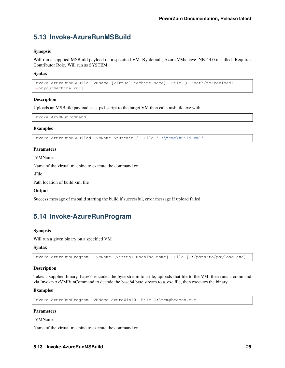# <span id="page-28-0"></span>**5.13 Invoke-AzureRunMSBuild**

#### Synopsis

Will run a supplied MSBuild payload on a specified VM. By default, Azure VMs have .NET 4.0 installed. Requires Contributor Role. Will run as SYSTEM.

#### **Syntax**

```
Invoke-AzureRunMSBuild -VMName [Virtual Machine name] -File [C:/path/to/payload/
˓→onyourmachine.xml]
```
#### Description

Uploads an MSBuild payload as a .ps1 script to the target VM then calls msbuild.exe with

Invoke-AzVMRunCommand

#### Examples

Invoke-AzureRunMSBuildd -VMName AzureWin10 -File 'C:**\t**emp**\b**uild.xml'

#### **Parameters**

-VMName

Name of the virtual machine to execute the command on

-File

Path location of build.xml file

#### **Output**

Success message of msbuild starting the build if successful, error message if upload failed.

# <span id="page-28-1"></span>**5.14 Invoke-AzureRunProgram**

#### Synopsis

Will run a given binary on a specified VM

#### **Syntax**

Invoke-AzureRunProgram -VMName [Virtual Machine name] -File [C:/path/to/payload.exe]

#### Description

Takes a supplied binary, base64 encodes the byte stream to a file, uploads that file to the VM, then runs a command via Invoke-AzVMRunCommand to decode the base64 byte stream to a .exe file, then executes the binary.

#### Examples

Invoke-AzureRunProgram -VMName AzureWin10 -File C:\tempbeacon.exe

#### Parameters

#### -VMName

Name of the virtual machine to execute the command on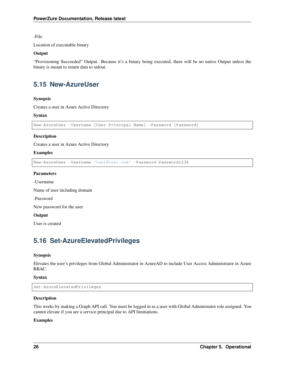-File

Location of executable binary

#### **Output**

"Provisioning Succeeded" Output. Because it's a binary being executed, there will be no native Output unless the binary is meant to return data to stdout.

# <span id="page-29-0"></span>**5.15 New-AzureUser**

#### Synopsis

Creates a user in Azure Active Directory

#### **Syntax**

```
New-AzureUser -Username [User Principal Name] -Password [Password]
```
#### **Description**

Creates a user in Azure Active Directory

#### Examples

New-AzureUser -Username 'test@test.com' -Password Password1234

#### **Parameters**

-Username

Name of user including domain

-Password

New password for the user

#### **Output**

User is created

# <span id="page-29-1"></span>**5.16 Set-AzureElevatedPrivileges**

#### Synopsis

Elevates the user's privileges from Global Administrator in AzureAD to include User Access Administrator in Azure RBAC.

#### Syntax

Set-AzureElevatedPrivileges

#### Description

This works by making a Graph API call. You must be logged in as a user with Global Administator role assigned. You cannot elevate if you are a service principal due to API limitiations.

#### Examples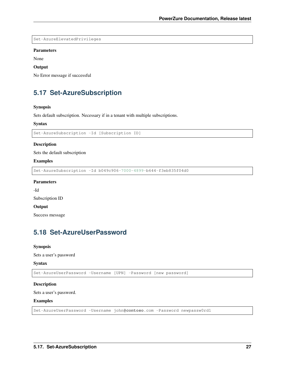```
Set-AzureElevatedPrivileges
```
#### Parameters

None

#### **Output**

No Error message if successful

# <span id="page-30-0"></span>**5.17 Set-AzureSubscription**

#### Synopsis

Sets default subscription. Necessary if in a tenant with multiple subscriptions.

#### Syntax

```
Set-AzureSubscription -Id [Subscription ID]
```
#### Description

Sets the default subscription

#### Examples

Set-AzureSubscription -Id b049c906-7000-4899-b644-f3eb835f04d0

#### Parameters

-Id

Subscription ID

#### **Output**

Success message

# <span id="page-30-1"></span>**5.18 Set-AzureUserPassword**

#### Synopsis

Sets a user's password

#### Syntax

Set-AzureUserPassword -Username [UPN] -Password [new password]

#### Description

Sets a user's password.

#### Examples

Set-AzureUserPassword -Username john**@contoso**.com -Password newpassw0rd1